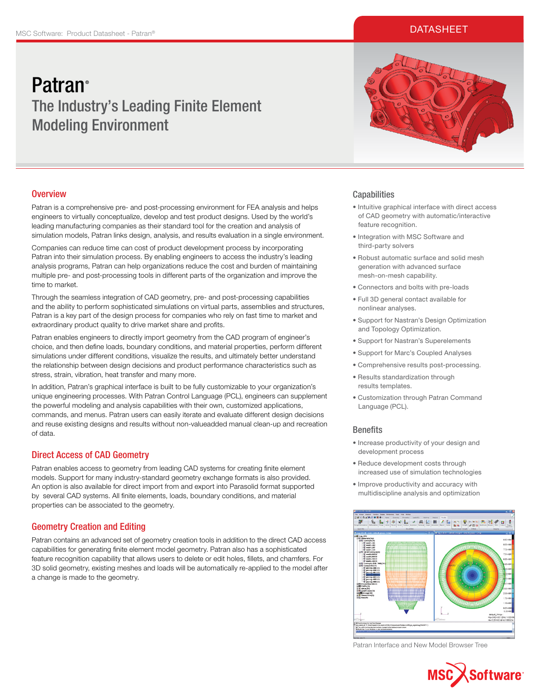## **DATASHEET**

# **Patran**<sup>®</sup> The Industry's Leading Finite Element Modeling Environment

## **Overview**

Patran is a comprehensive pre- and post-processing environment for FEA analysis and helps engineers to virtually conceptualize, develop and test product designs. Used by the world's leading manufacturing companies as their standard tool for the creation and analysis of simulation models, Patran links design, analysis, and results evaluation in a single environment.

Companies can reduce time can cost of product development process by incorporating Patran into their simulation process. By enabling engineers to access the industry's leading analysis programs, Patran can help organizations reduce the cost and burden of maintaining multiple pre- and post-processing tools in different parts of the organization and improve the time to market.

Through the seamless integration of CAD geometry, pre- and post-processing capabilities and the ability to perform sophisticated simulations on virtual parts, assemblies and structures, Patran is a key part of the design process for companies who rely on fast time to market and extraordinary product quality to drive market share and profits.

Patran enables engineers to directly import geometry from the CAD program of engineer's choice, and then define loads, boundary conditions, and material properties, perform different simulations under different conditions, visualize the results, and ultimately better understand the relationship between design decisions and product performance characteristics such as stress, strain, vibration, heat transfer and many more.

In addition, Patran's graphical interface is built to be fully customizable to your organization's unique engineering processes. With Patran Control Language (PCL), engineers can supplement the powerful modeling and analysis capabilities with their own, customized applications, commands, and menus. Patran users can easily iterate and evaluate different design decisions and reuse existing designs and results without non-valueadded manual clean-up and recreation of data.

# Direct Access of CAD Geometry

Patran enables access to geometry from leading CAD systems for creating finite element models. Support for many industry-standard geometry exchange formats is also provided. An option is also available for direct import from and export into Parasolid format supported by several CAD systems. All finite elements, loads, boundary conditions, and material properties can be associated to the geometry.

# Geometry Creation and Editing

Patran contains an advanced set of geometry creation tools in addition to the direct CAD access capabilities for generating finite element model geometry. Patran also has a sophisticated feature recognition capability that allows users to delete or edit holes, fillets, and chamfers. For 3D solid geometry, existing meshes and loads will be automatically re-applied to the model after a change is made to the geometry.



## **Capabilities**

- Intuitive graphical interface with direct access of CAD geometry with automatic/interactive feature recognition.
- Integration with MSC Software and third-party solvers
- Robust automatic surface and solid mesh generation with advanced surface mesh-on-mesh capability.
- Connectors and bolts with pre-loads
- Full 3D general contact available for nonlinear analyses.
- Support for Nastran's Design Optimization and Topology Optimization.
- Support for Nastran's Superelements
- Support for Marc's Coupled Analyses
- Comprehensive results post-processing.
- Results standardization through results templates.
- Customization through Patran Command Language (PCL).

## **Benefits**

- Increase productivity of your design and development process
- Reduce development costs through increased use of simulation technologies
- Improve productivity and accuracy with multidiscipline analysis and optimization



Patran Interface and New Model Browser Tree